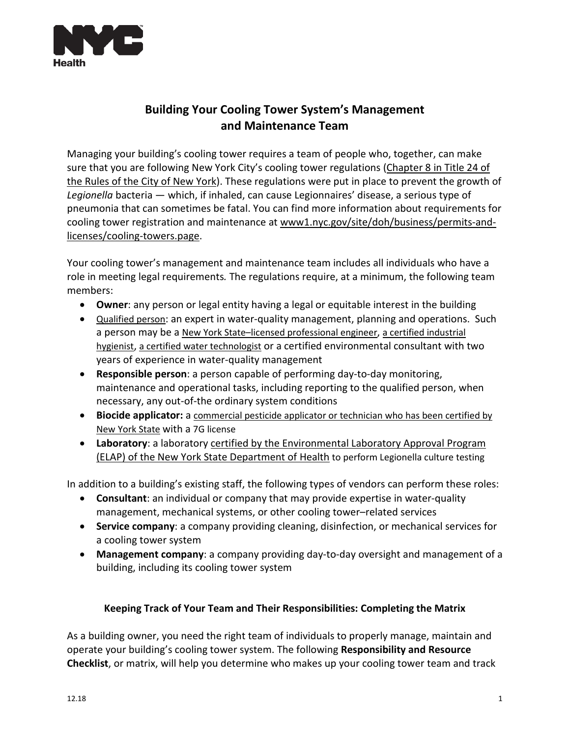

## **Building Your Cooling Tower System's Management and Maintenance Team**

Managing your building's cooling tower requires a team of people who, together, can make sure that you are following New York City's cooling tower regulations [\(Chapter 8 in Title 24 of](http://rules.cityofnewyork.us/content/cooling-towers-new-chapter-8-title-24-rules-city-new-york-establish-rules-maintenance-0)  [the Rules of the City of New York\)](http://rules.cityofnewyork.us/content/cooling-towers-new-chapter-8-title-24-rules-city-new-york-establish-rules-maintenance-0). These regulations were put in place to prevent the growth of *Legionella* bacteria — which, if inhaled, can cause Legionnaires' disease, a serious type of pneumonia that can sometimes be fatal. You can find more information about requirements for cooling tower registration and maintenance at [www1.nyc.gov/site/doh/business/permits-and](https://www1.nyc.gov/site/doh/business/permits-and-licenses/cooling-towers.page)[licenses/cooling-towers.page.](https://www1.nyc.gov/site/doh/business/permits-and-licenses/cooling-towers.page)

Your cooling tower's management and maintenance team includes all individuals who have a role in meeting legal requirements*.* The regulations require, at a minimum, the following team members:

- **Owner**: any person or legal entity having a legal or equitable interest in the building
- [Qualified person:](https://www1.nyc.gov/site/doh/business/permits-and-licenses/cooling-towers-mpp.page) an expert in water-quality management, planning and operations. Such a person may be a [New York State–licensed professional engineer,](https://www1.nyc.gov/site/buildings/homeowner/engineers-architects.page) [a certified industrial](https://portalabih.cyzap.net/dzapps/dbzap.bin/apps/assess/webmembers/secure/manage?webid=ABIH&pToolCode=cert-search&pAdd=Yes)  [hygienist,](https://portalabih.cyzap.net/dzapps/dbzap.bin/apps/assess/webmembers/secure/manage?webid=ABIH&pToolCode=cert-search&pAdd=Yes) [a certified water technologist](https://www.awt.org/find_water_treatment_professional/findtreatment.cfm) or a certified environmental consultant with two years of experience in water-quality management
- **Responsible person**: a person capable of performing day-to-day monitoring, maintenance and operational tasks, including reporting to the qualified person, when necessary, any out-of-the ordinary system conditions
- **Biocide applicator:** a [commercial pesticide applicator or technician who has been certified by](http://www.dec.ny.gov/permits/45618.html)  [New York State](http://www.dec.ny.gov/permits/45618.html) with a 7G license
- **Laboratory**: a laboratory [certified by the Environmental Laboratory](https://www.wadsworth.org/regulatory/elap/legionella) Approval Program [\(ELAP\) of the New York State Department of Health](https://www.wadsworth.org/regulatory/elap/legionella) [to perform Legionella culture testing](http://www.wadsworth.org/regulatory/elap/legionella)

In addition to a building's existing staff, the following types of vendors can perform these roles:

- **Consultant**: an individual or company that may provide expertise in water-quality management, mechanical systems, or other cooling tower–related services
- **Service company**: a company providing cleaning, disinfection, or mechanical services for a cooling tower system
- **Management company**: a company providing day-to-day oversight and management of a building, including its cooling tower system

## **Keeping Track of Your Team and Their Responsibilities: Completing the Matrix**

As a building owner, you need the right team of individuals to properly manage, maintain and operate your building's cooling tower system. The following **Responsibility and Resource Checklist**, or matrix, will help you determine who makes up your cooling tower team and track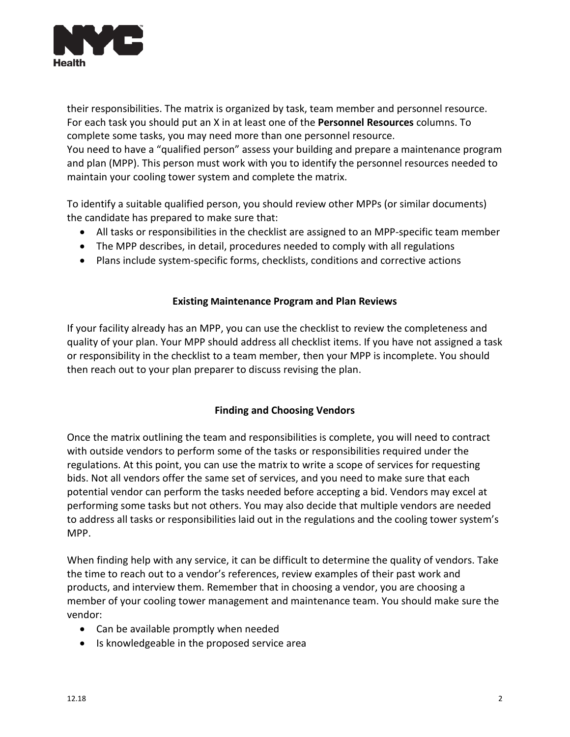

their responsibilities. The matrix is organized by task, team member and personnel resource. For each task you should put an X in at least one of the **Personnel Resources** columns. To complete some tasks, you may need more than one personnel resource. You need to have a "qualified person" assess your building and prepare a maintenance program and plan (MPP). This person must work with you to identify the personnel resources needed to maintain your cooling tower system and complete the matrix.

To identify a suitable qualified person, you should review other MPPs (or similar documents) the candidate has prepared to make sure that:

- All tasks or responsibilities in the checklist are assigned to an MPP-specific team member
- The MPP describes, in detail, procedures needed to comply with all regulations
- Plans include system-specific forms, checklists, conditions and corrective actions

## **Existing Maintenance Program and Plan Reviews**

If your facility already has an MPP, you can use the checklist to review the completeness and quality of your plan. Your MPP should address all checklist items. If you have not assigned a task or responsibility in the checklist to a team member, then your MPP is incomplete. You should then reach out to your plan preparer to discuss revising the plan.

## **Finding and Choosing Vendors**

Once the matrix outlining the team and responsibilities is complete, you will need to contract with outside vendors to perform some of the tasks or responsibilities required under the regulations. At this point, you can use the matrix to write a scope of services for requesting bids. Not all vendors offer the same set of services, and you need to make sure that each potential vendor can perform the tasks needed before accepting a bid. Vendors may excel at performing some tasks but not others. You may also decide that multiple vendors are needed to address all tasks or responsibilities laid out in the regulations and the cooling tower system's MPP.

When finding help with any service, it can be difficult to determine the quality of vendors. Take the time to reach out to a vendor's references, review examples of their past work and products, and interview them. Remember that in choosing a vendor, you are choosing a member of your cooling tower management and maintenance team. You should make sure the vendor:

- Can be available promptly when needed
- Is knowledgeable in the proposed service area